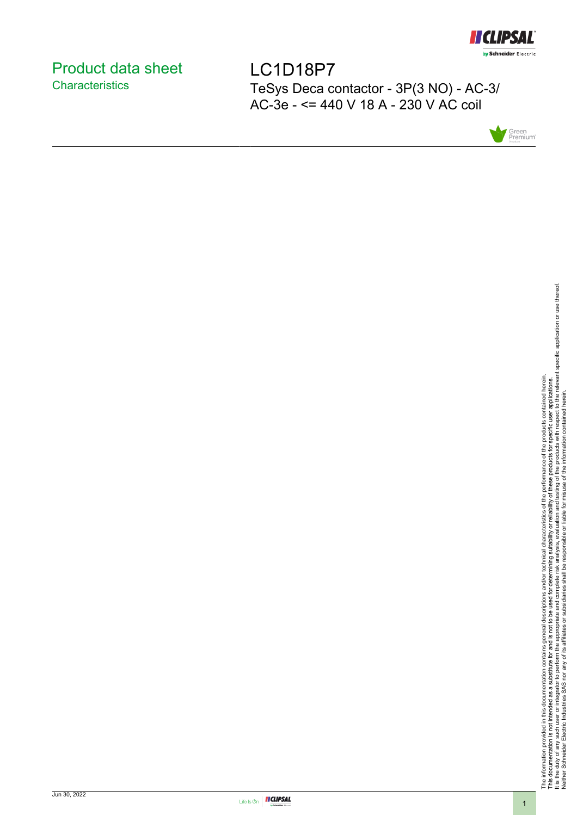

# <span id="page-0-0"></span>Product data sheet **Characteristics**

LC1D18P7 TeSys Deca contactor - 3P(3 NO) - AC-3/ AC-3e - <= 440 V 18 A - 230 V AC coil



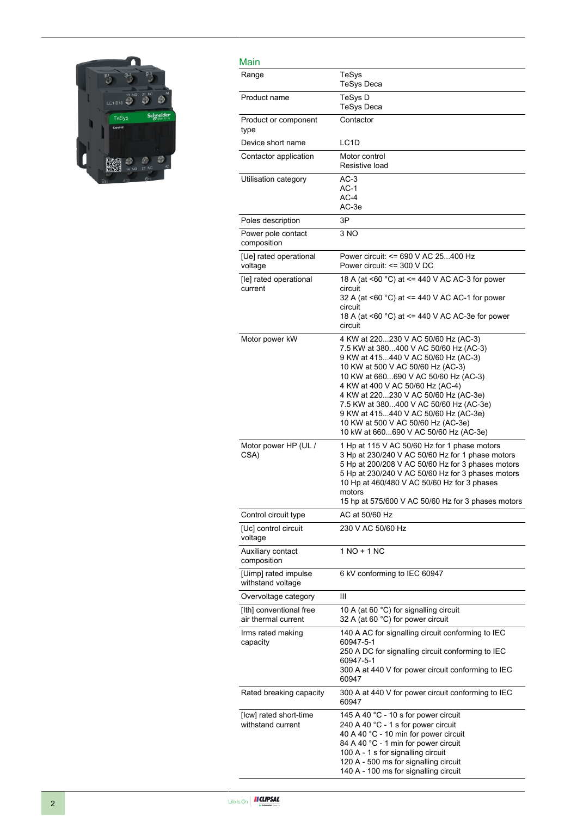

| Main                                           |                                                                                                                                                                                                                                                                                                                                                                                                                                               |
|------------------------------------------------|-----------------------------------------------------------------------------------------------------------------------------------------------------------------------------------------------------------------------------------------------------------------------------------------------------------------------------------------------------------------------------------------------------------------------------------------------|
| Range                                          | TeSys<br><b>TeSys Deca</b>                                                                                                                                                                                                                                                                                                                                                                                                                    |
| Product name                                   | TeSys D<br><b>TeSys Deca</b>                                                                                                                                                                                                                                                                                                                                                                                                                  |
| Product or component<br>type                   | Contactor                                                                                                                                                                                                                                                                                                                                                                                                                                     |
| Device short name                              | LC <sub>1</sub> D                                                                                                                                                                                                                                                                                                                                                                                                                             |
| Contactor application                          | Motor control<br>Resistive load                                                                                                                                                                                                                                                                                                                                                                                                               |
| Utilisation category                           | $AC-3$<br>$AC-1$<br>$AC-4$<br>AC-3e                                                                                                                                                                                                                                                                                                                                                                                                           |
| Poles description                              | 3P                                                                                                                                                                                                                                                                                                                                                                                                                                            |
| Power pole contact<br>composition              | 3 NO                                                                                                                                                                                                                                                                                                                                                                                                                                          |
| [Ue] rated operational<br>voltage              | Power circuit: <= 690 V AC 25400 Hz<br>Power circuit: $\leq$ 300 V DC                                                                                                                                                                                                                                                                                                                                                                         |
| [le] rated operational<br>current              | 18 A (at <60 °C) at <= 440 V AC AC-3 for power<br>circuit<br>32 A (at <60 °C) at <= 440 V AC AC-1 for power<br>circuit<br>18 A (at <60 °C) at <= 440 V AC AC-3e for power<br>circuit                                                                                                                                                                                                                                                          |
| Motor power kW                                 | 4 KW at 220230 V AC 50/60 Hz (AC-3)<br>7.5 KW at 380400 V AC 50/60 Hz (AC-3)<br>9 KW at 415440 V AC 50/60 Hz (AC-3)<br>10 KW at 500 V AC 50/60 Hz (AC-3)<br>10 KW at 660690 V AC 50/60 Hz (AC-3)<br>4 KW at 400 V AC 50/60 Hz (AC-4)<br>4 KW at 220230 V AC 50/60 Hz (AC-3e)<br>7.5 KW at 380400 V AC 50/60 Hz (AC-3e)<br>9 KW at 415440 V AC 50/60 Hz (AC-3e)<br>10 KW at 500 V AC 50/60 Hz (AC-3e)<br>10 kW at 660690 V AC 50/60 Hz (AC-3e) |
| Motor power HP (UL /<br>CSA)                   | 1 Hp at 115 V AC 50/60 Hz for 1 phase motors<br>3 Hp at 230/240 V AC 50/60 Hz for 1 phase motors<br>5 Hp at 200/208 V AC 50/60 Hz for 3 phases motors<br>5 Hp at 230/240 V AC 50/60 Hz for 3 phases motors<br>10 Hp at 460/480 V AC 50/60 Hz for 3 phases<br>motors<br>15 hp at 575/600 V AC 50/60 Hz for 3 phases motors                                                                                                                     |
| Control circuit type                           | AC at 50/60 Hz                                                                                                                                                                                                                                                                                                                                                                                                                                |
| [Uc] control circuit<br>voltage                | 230 V AC 50/60 Hz                                                                                                                                                                                                                                                                                                                                                                                                                             |
| Auxiliary contact<br>composition               | 1 NO + 1 NC                                                                                                                                                                                                                                                                                                                                                                                                                                   |
| [Uimp] rated impulse<br>withstand voltage      | 6 kV conforming to IEC 60947                                                                                                                                                                                                                                                                                                                                                                                                                  |
| Overvoltage category                           | Ш                                                                                                                                                                                                                                                                                                                                                                                                                                             |
| [Ith] conventional free<br>air thermal current | 10 A (at 60 °C) for signalling circuit<br>32 A (at 60 °C) for power circuit                                                                                                                                                                                                                                                                                                                                                                   |
| Irms rated making<br>capacity                  | 140 A AC for signalling circuit conforming to IEC<br>60947-5-1<br>250 A DC for signalling circuit conforming to IEC<br>60947-5-1<br>300 A at 440 V for power circuit conforming to IEC<br>60947                                                                                                                                                                                                                                               |
| Rated breaking capacity                        | 300 A at 440 V for power circuit conforming to IEC<br>60947                                                                                                                                                                                                                                                                                                                                                                                   |
| [Icw] rated short-time<br>withstand current    | 145 A 40 °C - 10 s for power circuit<br>240 A 40 °C - 1 s for power circuit<br>40 A 40 °C - 10 min for power circuit<br>84 A 40 °C - 1 min for power circuit<br>100 A - 1 s for signalling circuit<br>120 A - 500 ms for signalling circuit<br>140 A - 100 ms for signalling circuit                                                                                                                                                          |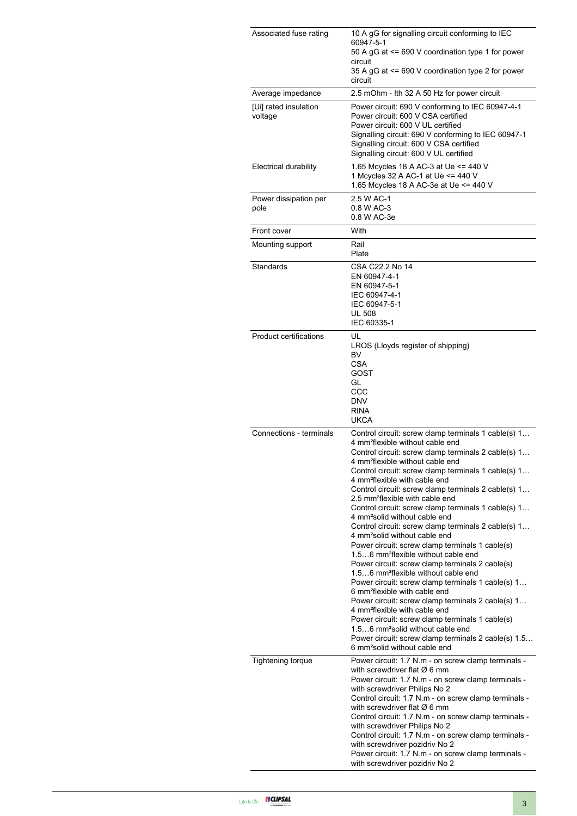| Associated fuse rating           | 10 A gG for signalling circuit conforming to IEC<br>60947-5-1<br>50 A gG at <= 690 V coordination type 1 for power<br>circuit<br>35 A gG at <= 690 V coordination type 2 for power<br>circuit                                                                                                                                                                                                                                                                                                                                                                                                                                                                                                                                                                                                                                                                                                                                                                                                                                                                                                                                                                                                                                                       |  |  |
|----------------------------------|-----------------------------------------------------------------------------------------------------------------------------------------------------------------------------------------------------------------------------------------------------------------------------------------------------------------------------------------------------------------------------------------------------------------------------------------------------------------------------------------------------------------------------------------------------------------------------------------------------------------------------------------------------------------------------------------------------------------------------------------------------------------------------------------------------------------------------------------------------------------------------------------------------------------------------------------------------------------------------------------------------------------------------------------------------------------------------------------------------------------------------------------------------------------------------------------------------------------------------------------------------|--|--|
| Average impedance                | 2.5 mOhm - Ith 32 A 50 Hz for power circuit                                                                                                                                                                                                                                                                                                                                                                                                                                                                                                                                                                                                                                                                                                                                                                                                                                                                                                                                                                                                                                                                                                                                                                                                         |  |  |
| [Ui] rated insulation<br>voltage | Power circuit: 690 V conforming to IEC 60947-4-1<br>Power circuit: 600 V CSA certified<br>Power circuit: 600 V UL certified<br>Signalling circuit: 690 V conforming to IEC 60947-1<br>Signalling circuit: 600 V CSA certified<br>Signalling circuit: 600 V UL certified                                                                                                                                                                                                                                                                                                                                                                                                                                                                                                                                                                                                                                                                                                                                                                                                                                                                                                                                                                             |  |  |
| Electrical durability            | 1.65 Mcycles 18 A AC-3 at Ue <= 440 V<br>1 Mcycles 32 A AC-1 at Ue <= 440 V<br>1.65 Mcycles 18 A AC-3e at Ue <= 440 V                                                                                                                                                                                                                                                                                                                                                                                                                                                                                                                                                                                                                                                                                                                                                                                                                                                                                                                                                                                                                                                                                                                               |  |  |
| Power dissipation per<br>pole    | 2.5 W AC-1<br>0.8 W AC-3<br>0.8 W AC-3e                                                                                                                                                                                                                                                                                                                                                                                                                                                                                                                                                                                                                                                                                                                                                                                                                                                                                                                                                                                                                                                                                                                                                                                                             |  |  |
| Front cover                      | With                                                                                                                                                                                                                                                                                                                                                                                                                                                                                                                                                                                                                                                                                                                                                                                                                                                                                                                                                                                                                                                                                                                                                                                                                                                |  |  |
| Mounting support                 | Rail<br>Plate                                                                                                                                                                                                                                                                                                                                                                                                                                                                                                                                                                                                                                                                                                                                                                                                                                                                                                                                                                                                                                                                                                                                                                                                                                       |  |  |
| Standards                        | CSA C22.2 No 14<br>EN 60947-4-1<br>EN 60947-5-1<br>IEC 60947-4-1<br>IEC 60947-5-1<br><b>UL 508</b><br>IEC 60335-1                                                                                                                                                                                                                                                                                                                                                                                                                                                                                                                                                                                                                                                                                                                                                                                                                                                                                                                                                                                                                                                                                                                                   |  |  |
| <b>Product certifications</b>    | UL<br>LROS (Lloyds register of shipping)<br>BV<br>CSA<br>GOST<br>GL<br>CCC<br><b>DNV</b><br><b>RINA</b><br><b>UKCA</b>                                                                                                                                                                                                                                                                                                                                                                                                                                                                                                                                                                                                                                                                                                                                                                                                                                                                                                                                                                                                                                                                                                                              |  |  |
| Connections - terminals          | Control circuit: screw clamp terminals 1 cable(s) 1<br>4 mm <sup>2</sup> flexible without cable end<br>Control circuit: screw clamp terminals 2 cable(s) 1<br>4 mm <sup>2</sup> flexible without cable end<br>Control circuit: screw clamp terminals 1 cable(s) 1<br>4 mm <sup>2</sup> flexible with cable end<br>Control circuit: screw clamp terminals 2 cable(s) 1<br>2.5 mm <sup>2</sup> flexible with cable end<br>Control circuit: screw clamp terminals 1 cable(s) 1<br>4 mm <sup>2</sup> solid without cable end<br>Control circuit: screw clamp terminals 2 cable(s) 1<br>4 mm <sup>2</sup> solid without cable end<br>Power circuit: screw clamp terminals 1 cable(s)<br>1.56 mm <sup>2</sup> flexible without cable end<br>Power circuit: screw clamp terminals 2 cable(s)<br>1.56 mm <sup>2</sup> flexible without cable end<br>Power circuit: screw clamp terminals 1 cable(s) 1<br>6 mm <sup>2</sup> flexible with cable end<br>Power circuit: screw clamp terminals 2 cable(s) 1<br>4 mm <sup>2</sup> flexible with cable end<br>Power circuit: screw clamp terminals 1 cable(s)<br>1.56 mm <sup>2</sup> solid without cable end<br>Power circuit: screw clamp terminals 2 cable(s) 1.5<br>6 mm <sup>2</sup> solid without cable end |  |  |
| Tightening torque                | Power circuit: 1.7 N.m - on screw clamp terminals -<br>with screwdriver flat $\varnothing$ 6 mm<br>Power circuit: 1.7 N.m - on screw clamp terminals -<br>with screwdriver Philips No 2<br>Control circuit: 1.7 N.m - on screw clamp terminals -<br>with screwdriver flat $\varnothing$ 6 mm<br>Control circuit: 1.7 N.m - on screw clamp terminals -<br>with screwdriver Philips No 2<br>Control circuit: 1.7 N.m - on screw clamp terminals -<br>with screwdriver pozidriv No 2<br>Power circuit: 1.7 N.m - on screw clamp terminals -<br>with screwdriver pozidriv No 2                                                                                                                                                                                                                                                                                                                                                                                                                                                                                                                                                                                                                                                                          |  |  |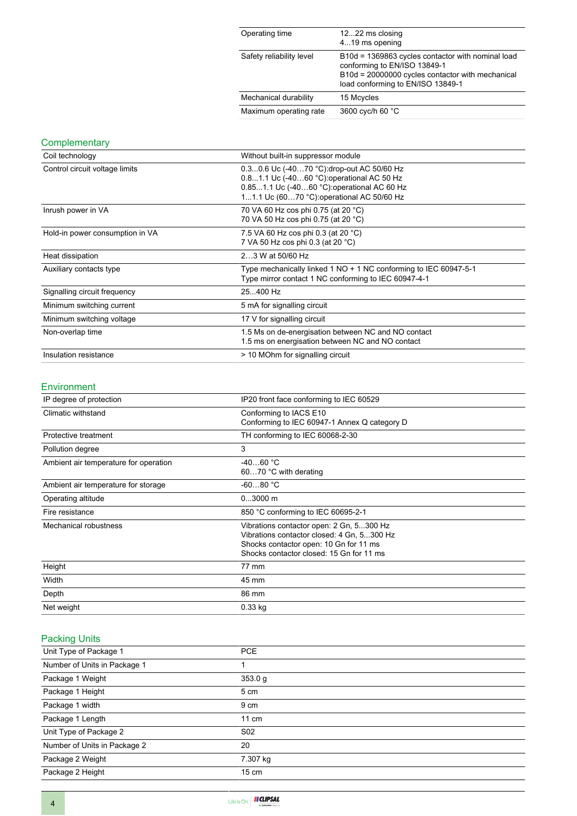| Operating time           | 1222 ms closing<br>419 ms opening                                                                                                                                          |
|--------------------------|----------------------------------------------------------------------------------------------------------------------------------------------------------------------------|
| Safety reliability level | B10d = 1369863 cycles contactor with nominal load<br>conforming to EN/ISO 13849-1<br>B10d = 20000000 cycles contactor with mechanical<br>load conforming to EN/ISO 13849-1 |
| Mechanical durability    | 15 Mcycles                                                                                                                                                                 |
| Maximum operating rate   | 3600 cyc/h 60 °C                                                                                                                                                           |

## **Complementary**

| Coil technology                 | Without built-in suppressor module                                                                                                                                                   |  |  |
|---------------------------------|--------------------------------------------------------------------------------------------------------------------------------------------------------------------------------------|--|--|
| Control circuit voltage limits  | 0.30.6 Uc (-4070 °C): drop-out AC 50/60 Hz<br>0.81.1 Uc (-4060 °C) operational AC 50 Hz<br>0.851.1 Uc (-4060 °C): operational AC 60 Hz<br>11.1 Uc (6070 °C): operational AC 50/60 Hz |  |  |
| Inrush power in VA              | 70 VA 60 Hz cos phi 0.75 (at 20 °C)<br>70 VA 50 Hz cos phi 0.75 (at 20 °C)                                                                                                           |  |  |
| Hold-in power consumption in VA | 7.5 VA 60 Hz cos phi 0.3 (at 20 °C)<br>7 VA 50 Hz cos phi 0.3 (at 20 °C)                                                                                                             |  |  |
| Heat dissipation                | 23 W at 50/60 Hz                                                                                                                                                                     |  |  |
| Auxiliary contacts type         | Type mechanically linked 1 NO + 1 NC conforming to IEC 60947-5-1<br>Type mirror contact 1 NC conforming to IEC 60947-4-1                                                             |  |  |
| Signalling circuit frequency    | 25400 Hz                                                                                                                                                                             |  |  |
| Minimum switching current       | 5 mA for signalling circuit                                                                                                                                                          |  |  |
| Minimum switching voltage       | 17 V for signalling circuit                                                                                                                                                          |  |  |
| Non-overlap time                | 1.5 Ms on de-energisation between NC and NO contact<br>1.5 ms on energisation between NC and NO contact                                                                              |  |  |
| Insulation resistance           | > 10 MOhm for signalling circuit                                                                                                                                                     |  |  |

#### Environment

| IP degree of protection                                                                                                                                                                               | IP20 front face conforming to IEC 60529                                |  |
|-------------------------------------------------------------------------------------------------------------------------------------------------------------------------------------------------------|------------------------------------------------------------------------|--|
| Climatic withstand                                                                                                                                                                                    | Conforming to IACS E10<br>Conforming to IEC 60947-1 Annex Q category D |  |
| Protective treatment                                                                                                                                                                                  | TH conforming to IEC 60068-2-30                                        |  |
| Pollution degree                                                                                                                                                                                      | 3                                                                      |  |
| Ambient air temperature for operation                                                                                                                                                                 | $-4060 °C$<br>6070 °C with derating                                    |  |
| Ambient air temperature for storage                                                                                                                                                                   | $-6080 °C$                                                             |  |
| Operating altitude                                                                                                                                                                                    | $03000$ m                                                              |  |
| Fire resistance                                                                                                                                                                                       | 850 °C conforming to IEC 60695-2-1                                     |  |
| Vibrations contactor open: 2 Gn, 5300 Hz<br>Mechanical robustness<br>Vibrations contactor closed: 4 Gn, 5300 Hz<br>Shocks contactor open: 10 Gn for 11 ms<br>Shocks contactor closed: 15 Gn for 11 ms |                                                                        |  |
| Height                                                                                                                                                                                                | 77 mm                                                                  |  |
| Width                                                                                                                                                                                                 | 45 mm                                                                  |  |
| Depth                                                                                                                                                                                                 | 86 mm                                                                  |  |
| Net weight                                                                                                                                                                                            | $0.33$ kg                                                              |  |

# Packing Units

| Unit Type of Package 1       | <b>PCE</b>      |
|------------------------------|-----------------|
| Number of Units in Package 1 |                 |
| Package 1 Weight             | 353.0 g         |
| Package 1 Height             | 5 cm            |
| Package 1 width              | 9 cm            |
| Package 1 Length             | $11 \text{ cm}$ |
| Unit Type of Package 2       | S <sub>02</sub> |
| Number of Units in Package 2 | 20              |
| Package 2 Weight             | 7.307 kg        |
| Package 2 Height             | $15 \text{ cm}$ |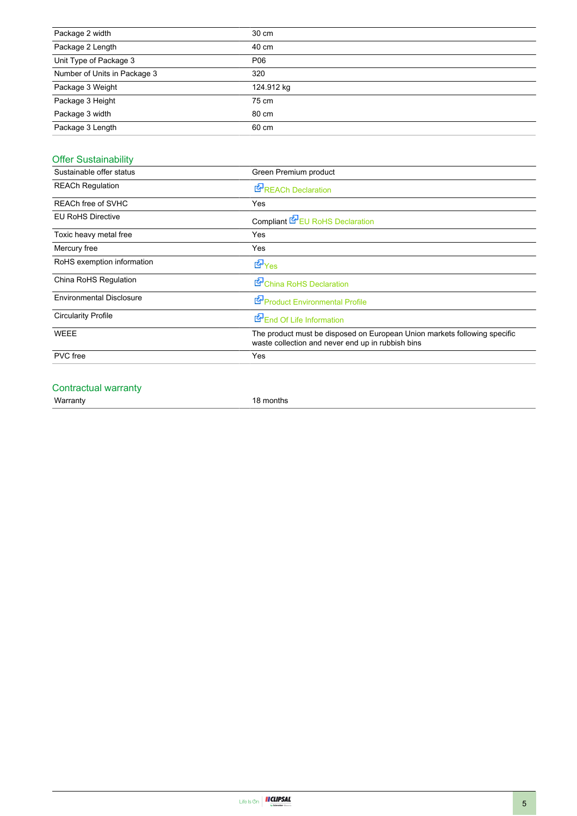| Package 2 width              | 30 cm      |
|------------------------------|------------|
| Package 2 Length             | 40 cm      |
| Unit Type of Package 3       | P06        |
| Number of Units in Package 3 | 320        |
| Package 3 Weight             | 124.912 kg |
| Package 3 Height             | 75 cm      |
| Package 3 width              | 80 cm      |
| Package 3 Length             | 60 cm      |

# Offer Sustainability

| Sustainable offer status        | Green Premium product                                                                                                          |  |
|---------------------------------|--------------------------------------------------------------------------------------------------------------------------------|--|
| <b>REACh Regulation</b>         | <b>REACh Declaration</b>                                                                                                       |  |
| REACh free of SVHC              | Yes                                                                                                                            |  |
| <b>EU RoHS Directive</b>        | Compliant EPEU RoHS Declaration                                                                                                |  |
| Toxic heavy metal free          | Yes                                                                                                                            |  |
| Mercury free                    | Yes                                                                                                                            |  |
| RoHS exemption information      | $E_{\text{Yes}}$                                                                                                               |  |
| China RoHS Regulation           | China RoHS Declaration                                                                                                         |  |
| <b>Environmental Disclosure</b> | Product Environmental Profile                                                                                                  |  |
| <b>Circularity Profile</b>      | End Of Life Information                                                                                                        |  |
| <b>WEEE</b>                     | The product must be disposed on European Union markets following specific<br>waste collection and never end up in rubbish bins |  |
| <b>PVC</b> free                 | Yes                                                                                                                            |  |
|                                 |                                                                                                                                |  |

### Contractual warranty

Warranty 18 months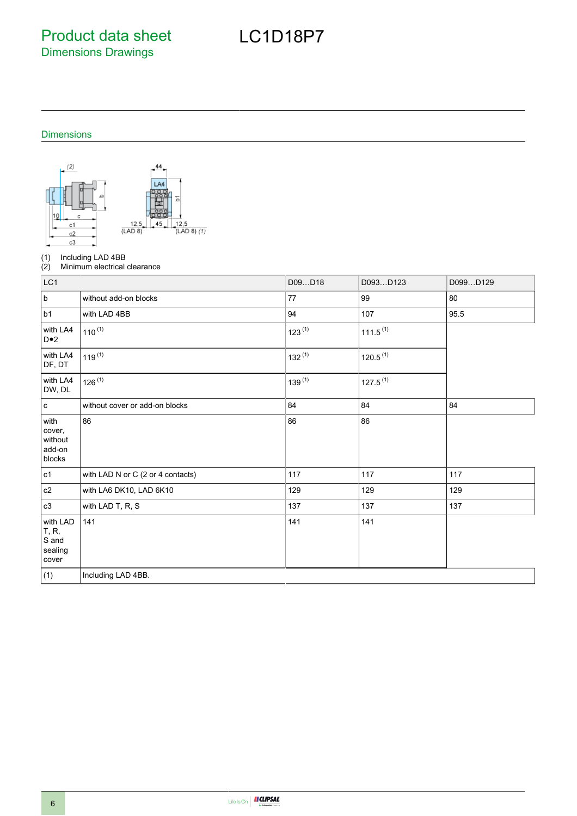Product data sheet Dimensions Drawings

# LC1D18P7

#### Dimensions



(1) Including LAD 4BB<br>(2) Minimum electrical

Minimum electrical clearance

| LC1                                            |                                   | D09D18      | D093D123             | D099D129 |
|------------------------------------------------|-----------------------------------|-------------|----------------------|----------|
| $\sf b$                                        | without add-on blocks             | 77          | 99                   | 80       |
| b1                                             | with LAD 4BB                      | 94          | 107                  | 95.5     |
| with LA4<br>$D \bullet 2$                      | $110^{(1)}$                       | $123^{(1)}$ | $111.5^{(1)}$        |          |
| with LA4<br>DF, DT                             | $119^{(1)}$                       | $132^{(1)}$ | 120.5 <sup>(1)</sup> |          |
| with LA4<br>DW, DL                             | $126^{(1)}$                       | $139^{(1)}$ | $127.5^{(1)}$        |          |
| $\mathbf c$                                    | without cover or add-on blocks    | 84          | 84                   | 84       |
| with<br>cover,<br>without<br>add-on<br>blocks  | 86                                | 86          | 86                   |          |
| c1                                             | with LAD N or C (2 or 4 contacts) | 117         | 117                  | 117      |
| $\mathtt{c2}$                                  | with LA6 DK10, LAD 6K10           | 129         | 129                  | 129      |
| c3                                             | with LAD T, R, S                  | 137         | 137                  | 137      |
| with LAD<br>T, R,<br>S and<br>sealing<br>cover | 141                               | 141         | 141                  |          |
| (1)                                            | Including LAD 4BB.                |             |                      |          |